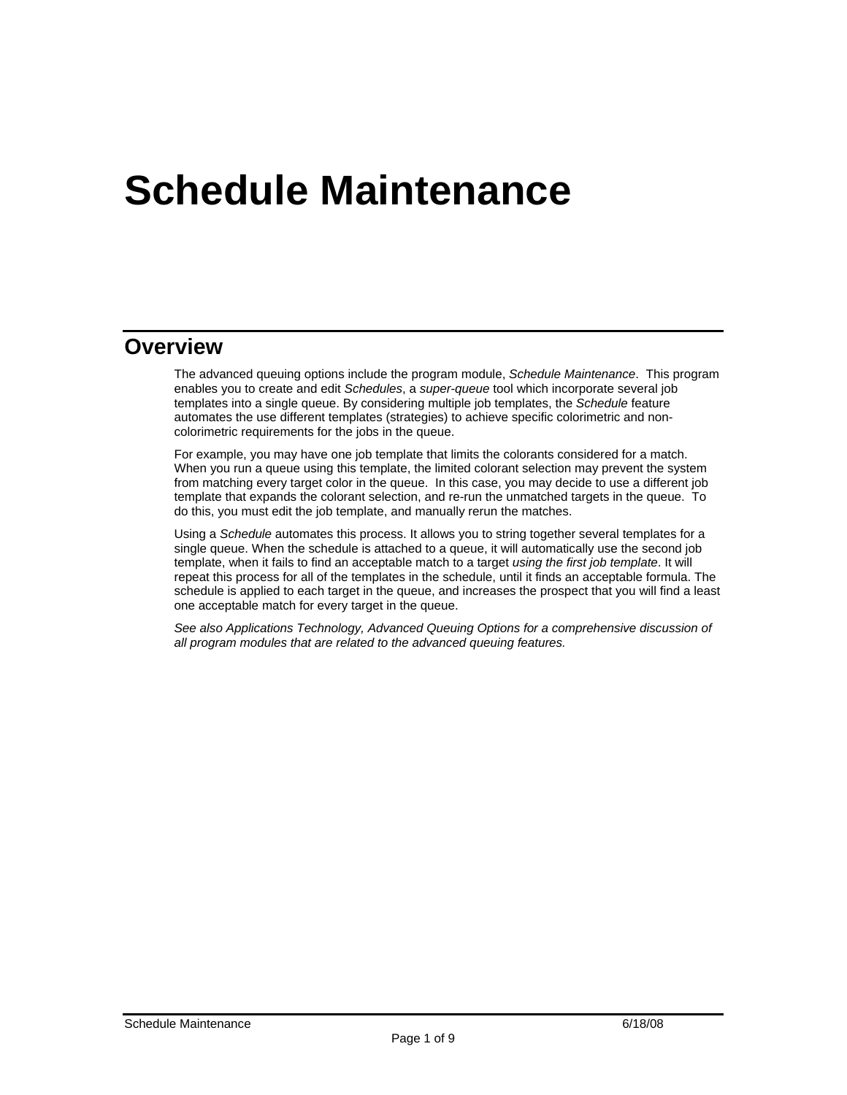# **Schedule Maintenance**

### **Overview**

The advanced queuing options include the program module, *Schedule Maintenance*. This program enables you to create and edit *Schedules*, a *super-queue* tool which incorporate several job templates into a single queue. By considering multiple job templates, the *Schedule* feature automates the use different templates (strategies) to achieve specific colorimetric and noncolorimetric requirements for the jobs in the queue.

For example, you may have one job template that limits the colorants considered for a match. When you run a queue using this template, the limited colorant selection may prevent the system from matching every target color in the queue. In this case, you may decide to use a different job template that expands the colorant selection, and re-run the unmatched targets in the queue. To do this, you must edit the job template, and manually rerun the matches.

Using a *Schedule* automates this process. It allows you to string together several templates for a single queue. When the schedule is attached to a queue, it will automatically use the second job template, when it fails to find an acceptable match to a target *using the first job template*. It will repeat this process for all of the templates in the schedule, until it finds an acceptable formula. The schedule is applied to each target in the queue, and increases the prospect that you will find a least one acceptable match for every target in the queue.

*See also Applications Technology, Advanced Queuing Options for a comprehensive discussion of all program modules that are related to the advanced queuing features.*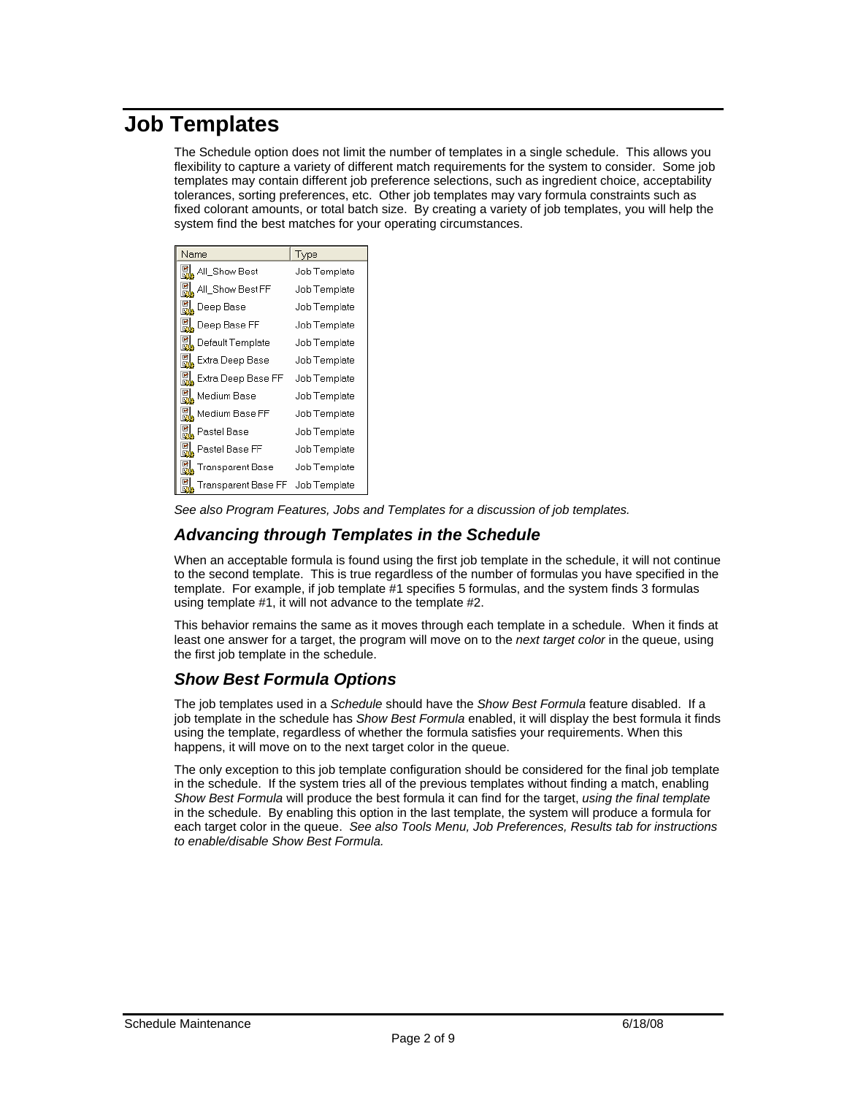### **Job Templates**

The Schedule option does not limit the number of templates in a single schedule. This allows you flexibility to capture a variety of different match requirements for the system to consider. Some job templates may contain different job preference selections, such as ingredient choice, acceptability tolerances, sorting preferences, etc. Other job templates may vary formula constraints such as fixed colorant amounts, or total batch size. By creating a variety of job templates, you will help the system find the best matches for your operating circumstances.

| Name                           | Type         |
|--------------------------------|--------------|
| <mark>说</mark> , All_Show Best | Job Template |
| 명, All_Show Best FF            | Job Template |
| <b>剧</b> Deep Base             | Job Template |
| 说, Deep Base FF                | Job Template |
| <b>B</b> , Default Template    | Job Template |
| Et Extra Deep Base             | Job Template |
| Extra Deep Base FF             | Job Template |
| 圖 Medium Base                  | Job Template |
| Medium Base FF                 | Job Template |
| 说 Pastel Base                  | Job Template |
| 说 Pastel Base FF               | Job Template |
| Transparent Base               | Job Template |
| Transparent Base FF            | Job Template |

*See also Program Features, Jobs and Templates for a discussion of job templates.* 

### *Advancing through Templates in the Schedule*

When an acceptable formula is found using the first job template in the schedule, it will not continue to the second template. This is true regardless of the number of formulas you have specified in the template. For example, if job template #1 specifies 5 formulas, and the system finds 3 formulas using template #1, it will not advance to the template #2.

This behavior remains the same as it moves through each template in a schedule. When it finds at least one answer for a target, the program will move on to the *next target color* in the queue, using the first job template in the schedule.

### *Show Best Formula Options*

The job templates used in a *Schedule* should have the *Show Best Formula* feature disabled. If a job template in the schedule has *Show Best Formula* enabled, it will display the best formula it finds using the template, regardless of whether the formula satisfies your requirements. When this happens, it will move on to the next target color in the queue.

The only exception to this job template configuration should be considered for the final job template in the schedule. If the system tries all of the previous templates without finding a match, enabling *Show Best Formula* will produce the best formula it can find for the target, *using the final template* in the schedule. By enabling this option in the last template, the system will produce a formula for each target color in the queue. *See also Tools Menu, Job Preferences, Results tab for instructions to enable/disable Show Best Formula.*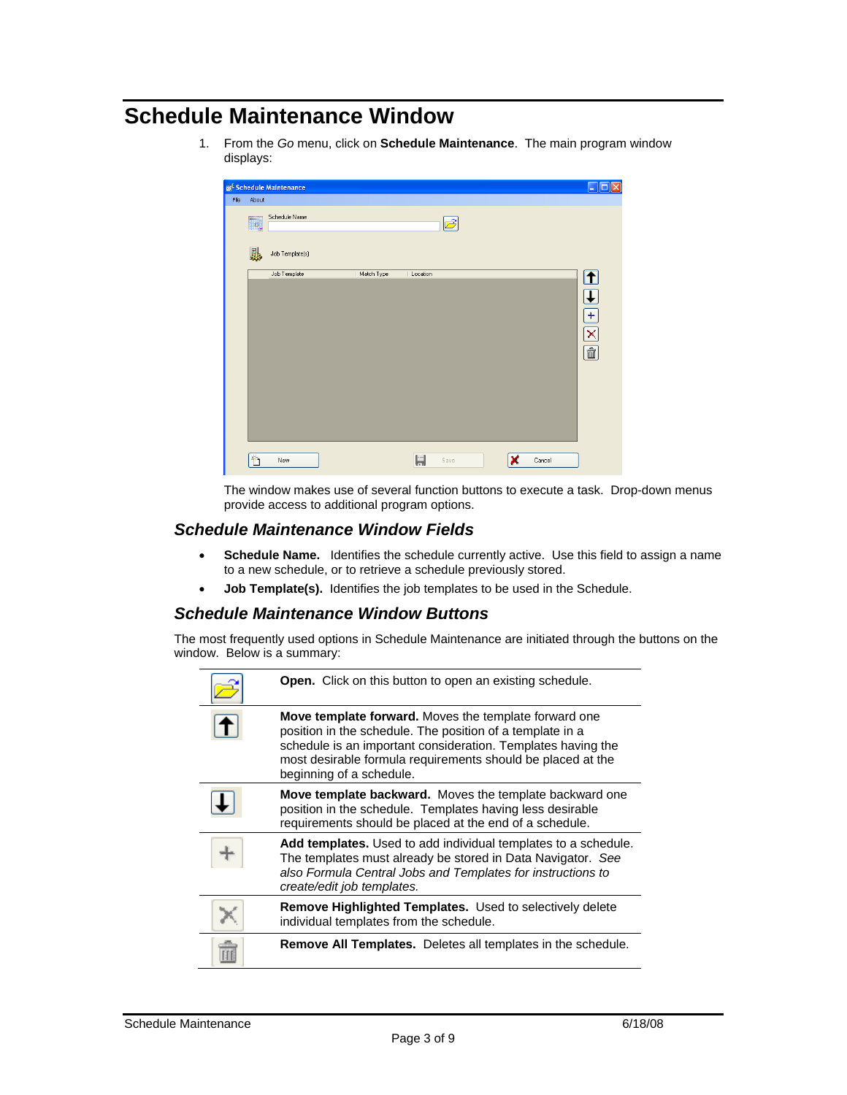# **Schedule Maintenance Window**

1. From the *Go* menu, click on **Schedule Maintenance**. The main program window displays:

| File | About                              | <b>B<sup>2</sup> Schedule Maintenance</b> |            |          |      |   |        | L.<br>⊪⊟                                               |
|------|------------------------------------|-------------------------------------------|------------|----------|------|---|--------|--------------------------------------------------------|
|      | <b>in</b>                          | Schedule Name                             |            |          |      |   |        |                                                        |
|      | 恩                                  | Job Template(s)                           |            |          |      |   |        |                                                        |
|      |                                    | Job Template                              | Match Type | Location |      |   |        | ঠ<br>$\overline{\downarrow}$<br>$\frac{1}{\mathbb{E}}$ |
|      | $\left\langle \cdot \right\rangle$ | New                                       |            | ᄂ        | Save | × | Cancel |                                                        |

The window makes use of several function buttons to execute a task. Drop-down menus provide access to additional program options.

### *Schedule Maintenance Window Fields*

- **Schedule Name.** Identifies the schedule currently active. Use this field to assign a name to a new schedule, or to retrieve a schedule previously stored.
- **Job Template(s).** Identifies the job templates to be used in the Schedule.

### *Schedule Maintenance Window Buttons*

The most frequently used options in Schedule Maintenance are initiated through the buttons on the window. Below is a summary:

| <b>Open.</b> Click on this button to open an existing schedule.                                                                                                                                                                                                               |
|-------------------------------------------------------------------------------------------------------------------------------------------------------------------------------------------------------------------------------------------------------------------------------|
| Move template forward. Moves the template forward one<br>position in the schedule. The position of a template in a<br>schedule is an important consideration. Templates having the<br>most desirable formula requirements should be placed at the<br>beginning of a schedule. |
| Move template backward. Moves the template backward one<br>position in the schedule. Templates having less desirable<br>requirements should be placed at the end of a schedule.                                                                                               |
| Add templates. Used to add individual templates to a schedule.<br>The templates must already be stored in Data Navigator. See<br>also Formula Central Jobs and Templates for instructions to<br>create/edit job templates.                                                    |
| Remove Highlighted Templates. Used to selectively delete<br>individual templates from the schedule.                                                                                                                                                                           |
| Remove All Templates. Deletes all templates in the schedule.                                                                                                                                                                                                                  |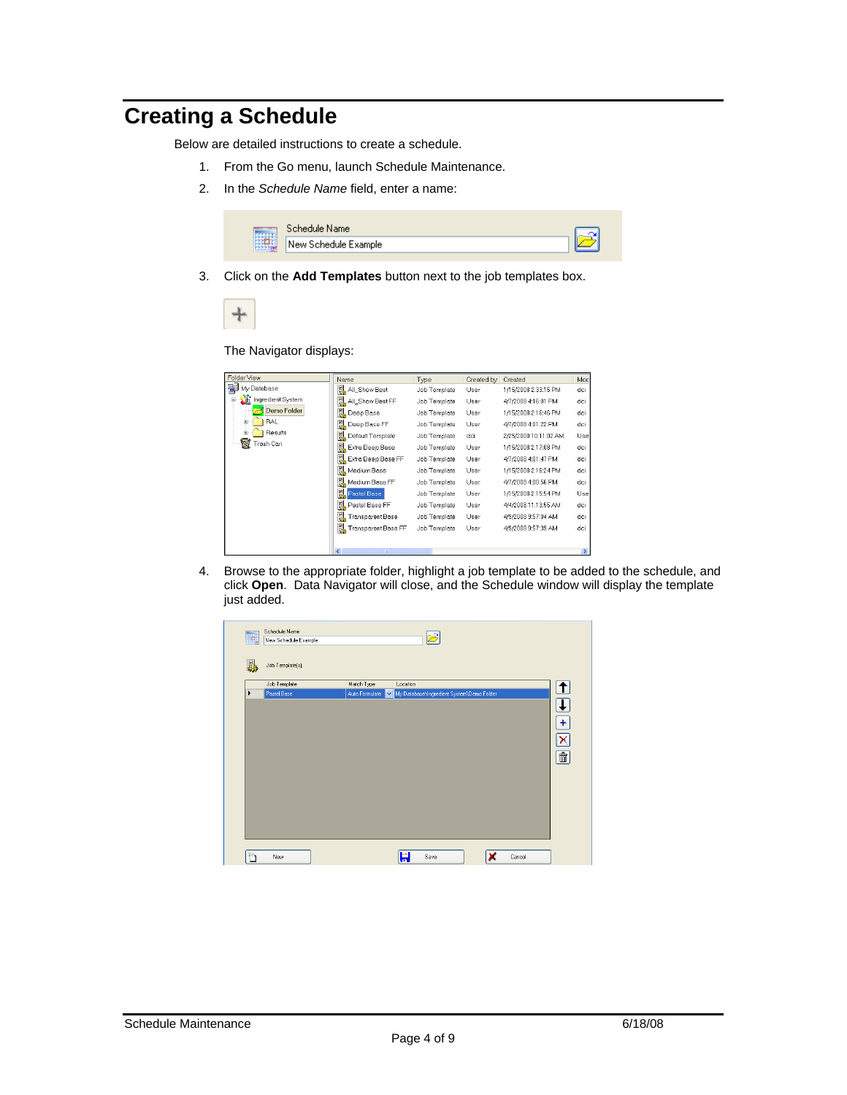# **Creating a Schedule**

Below are detailed instructions to create a schedule.

- 1. From the Go menu, launch Schedule Maintenance.
- 2. In the *Schedule Name* field, enter a name:



3. Click on the **Add Templates** button next to the job templates box.



The Navigator displays:

| Folder View                  | Name                                     | Type         | Created by | Created               | Moc                      |
|------------------------------|------------------------------------------|--------------|------------|-----------------------|--------------------------|
| My Database                  | All_Show Best                            | Job Template | User       | 1/15/2008 2:33:15 PM  | dci                      |
| <b>Tr</b> Ingredient System  | All_Show Best FF                         | Job Template | User       | 4/7/2008 4:16:01 PM   | dci                      |
| Demo Folder                  | 鳳<br>Deep Base                           | Job Template | User       | 1/15/2008 2:16:46 PM  | dci                      |
| <b>RAL</b><br>$\overline{+}$ | 臥<br>Deep Base FF                        | Job Template | User       | 4/7/2008 4:01:22 PM   | dci                      |
| Results<br>Ŧ                 | Default Template                         | Job Template | dci        | 2/25/2000 10:11:02 AM | Use                      |
| 爾<br>rash Can                | Extra Deep Base                          | Job Template | User       | 1/15/2008 2:17:08 PM  | dci                      |
|                              | Ы,<br>Extra Deep Base FF                 | Job Template | User       | 4/7/2008 4:01:47 PM   | dci                      |
|                              | Medium Base                              | Job Template | User       | 1/15/2008 2:16:24 PM  | dci                      |
|                              | Medium Base FF                           | Job Template | User       | 4/7/2008 4:00:56 PM   | dci                      |
|                              | Pastel Base                              | Job Template | User       | 1/15/2008 2:15:54 PM  | Use                      |
|                              | Pastel Base FF                           | Job Template | User       | 4/4/2008 11:13:55 AM  | dci                      |
|                              | e,<br><b>Transparent Base</b>            | Job Template | User       | 4/9/2008 9:57:04 AM   | dci                      |
|                              | Transparent Base FF                      | Job Template | User       | 4/9/2008 9:57:39 AM   | dci                      |
|                              |                                          |              |            |                       |                          |
|                              | $\overline{\phantom{a}}$<br><b>THEFT</b> |              |            |                       | $\overline{\phantom{a}}$ |

4. Browse to the appropriate folder, highlight a job template to be added to the schedule, and click **Open**. Data Navigator will close, and the Schedule window will display the template just added.

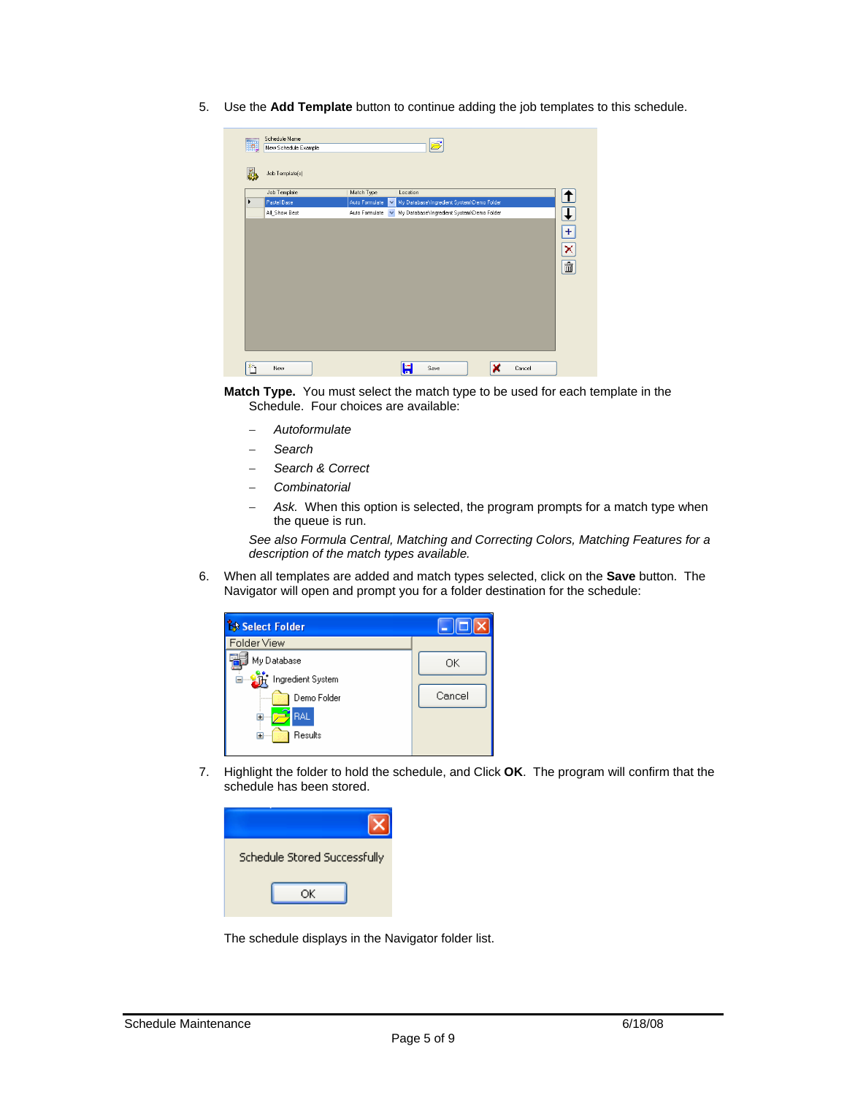5. Use the **Add Template** button to continue adding the job templates to this schedule.

| o. | Schedule Name        |                                |                                           |                         |
|----|----------------------|--------------------------------|-------------------------------------------|-------------------------|
|    | New Schedule Example |                                |                                           |                         |
|    | Job Template[s]      |                                |                                           |                         |
|    | Job Template         | Match Type                     | Location                                  | ↑                       |
| ٠  | Pastel Base          | Auto Formulate                 | My Database Ingredient System Demo Folder |                         |
|    | All_Show Best        | Auto Formulate<br>$\checkmark$ | My Database\Ingredient System\Demo Folder | $\overline{\mathbf{t}}$ |
|    |                      |                                |                                           |                         |
|    |                      |                                |                                           | $+$                     |
|    |                      |                                |                                           | $\overline{\mathsf{x}}$ |
|    |                      |                                |                                           |                         |
|    |                      |                                |                                           | û                       |
|    |                      |                                |                                           |                         |
|    |                      |                                |                                           |                         |
|    |                      |                                |                                           |                         |
|    |                      |                                |                                           |                         |
|    |                      |                                |                                           |                         |
|    |                      |                                |                                           |                         |
|    |                      |                                |                                           |                         |
|    |                      |                                |                                           |                         |
|    | New                  |                                | 분<br>×<br>Cancel<br>Save                  |                         |
|    |                      |                                |                                           |                         |

**Match Type.** You must select the match type to be used for each template in the Schedule. Four choices are available:

- − *Autoformulate*
- − *Search*
- − *Search & Correct*
- − *Combinatorial*
- Ask. When this option is selected, the program prompts for a match type when the queue is run.

*See also Formula Central, Matching and Correcting Colors, Matching Features for a description of the match types available.* 

6. When all templates are added and match types selected, click on the **Save** button. The Navigator will open and prompt you for a folder destination for the schedule:



7. Highlight the folder to hold the schedule, and Click **OK**. The program will confirm that the schedule has been stored.

| Schedule Stored Successfully |
|------------------------------|
| ОΚ                           |

The schedule displays in the Navigator folder list.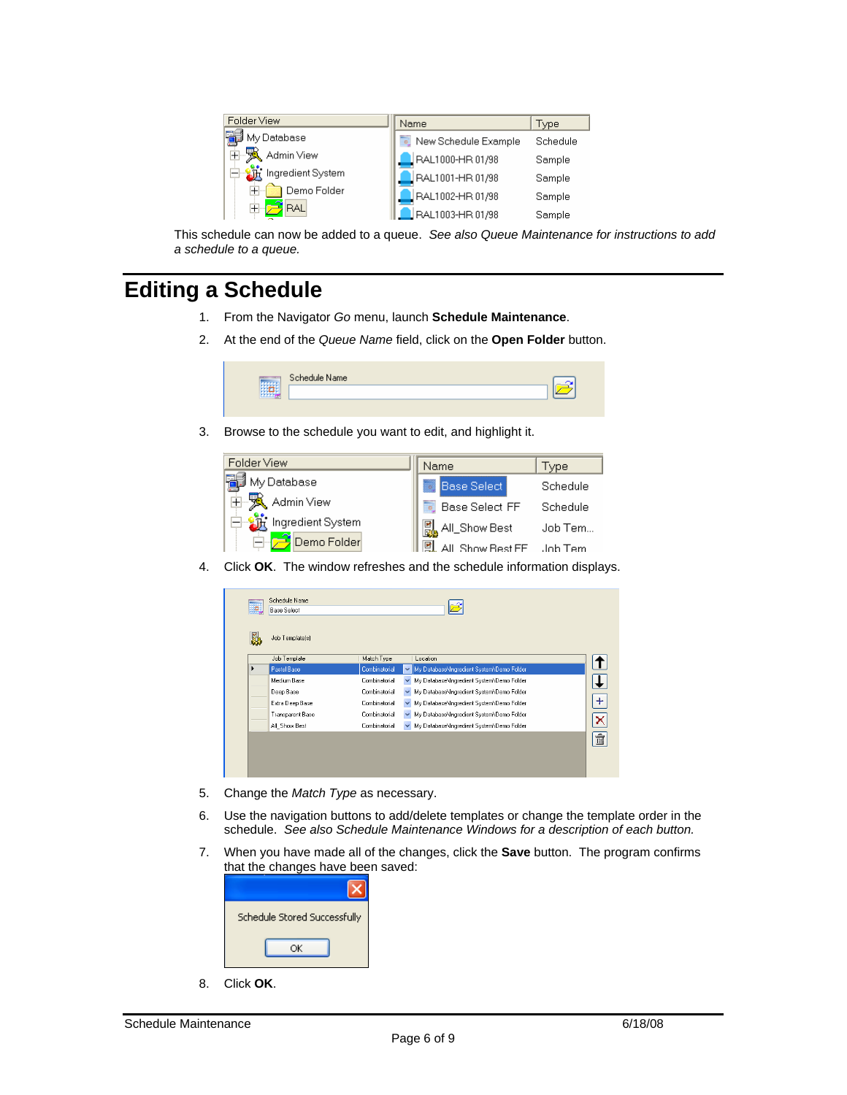| Folder View                             | Name                 | Type     |
|-----------------------------------------|----------------------|----------|
| P<br>My Database                        | New Schedule Example | Schedule |
| 由录<br>Admin View                        | FAL1000-HR 01/98     | Sample   |
| ⊟ <mark>- ऑ</mark> र् Ingredient System | FAL1001-HR 01/98     | Sample   |
| Demo Folder<br>$\pm$                    | FAL1002-HR 01/98     | Sample   |
| RAL                                     | LRAL1003-HR 01/98    | Sample   |

This schedule can now be added to a queue. *See also Queue Maintenance for instructions to add a schedule to a queue.* 

# **Editing a Schedule**

- 1. From the Navigator *Go* menu, launch **Schedule Maintenance**.
- 2. At the end of the *Queue Name* field, click on the **Open Folder** button.

| Schedule Name |  |
|---------------|--|
|               |  |
|               |  |

3. Browse to the schedule you want to edit, and highlight it.

| Folder View                       | Name                      | Type     |
|-----------------------------------|---------------------------|----------|
| ∄ My Database                     | <b>Base Select</b>        | Schedule |
| $\boxplus$ Admin View             | Base Select FF            | Schedule |
| ⊟ <u>- धौरै</u> Ingredient System | 몞<br>, All_Show Best      | Job Tem  |
| Demo Folder                       | All, Show Best FF Job Tem |          |

4. Click **OK**. The window refreshes and the schedule information displays.

| Job Template(s)  |               |              |                                            |  |
|------------------|---------------|--------------|--------------------------------------------|--|
| Job Template     | Match Type    |              | Location                                   |  |
| Pastel Base      | Combinatorial |              | My Database \Ingredient System\Demo Folder |  |
| Medium Base      | Combinatorial |              | My Database\Ingredient System\Demo Folder  |  |
| Deep Base        | Combinatorial | $\checkmark$ | My Database\Ingredient System\Demo Folder  |  |
| Extra Deep Base  | Combinatorial |              | My Database Ingredient System \Demo Folder |  |
| Transparent Base | Combinatorial |              | My Database Ingredient System \Demo Folder |  |
| All_Show Best    | Combinatorial | $\checkmark$ | My Database \Ingredient System\Demo Folder |  |
|                  |               |              |                                            |  |

- 5. Change the *Match Type* as necessary.
- 6. Use the navigation buttons to add/delete templates or change the template order in the schedule. *See also Schedule Maintenance Windows for a description of each button.*
- 7. When you have made all of the changes, click the **Save** button. The program confirms that the changes have been saved:

| Schedule Stored Successfully |
|------------------------------|
| ОК                           |
|                              |

8. Click **OK**.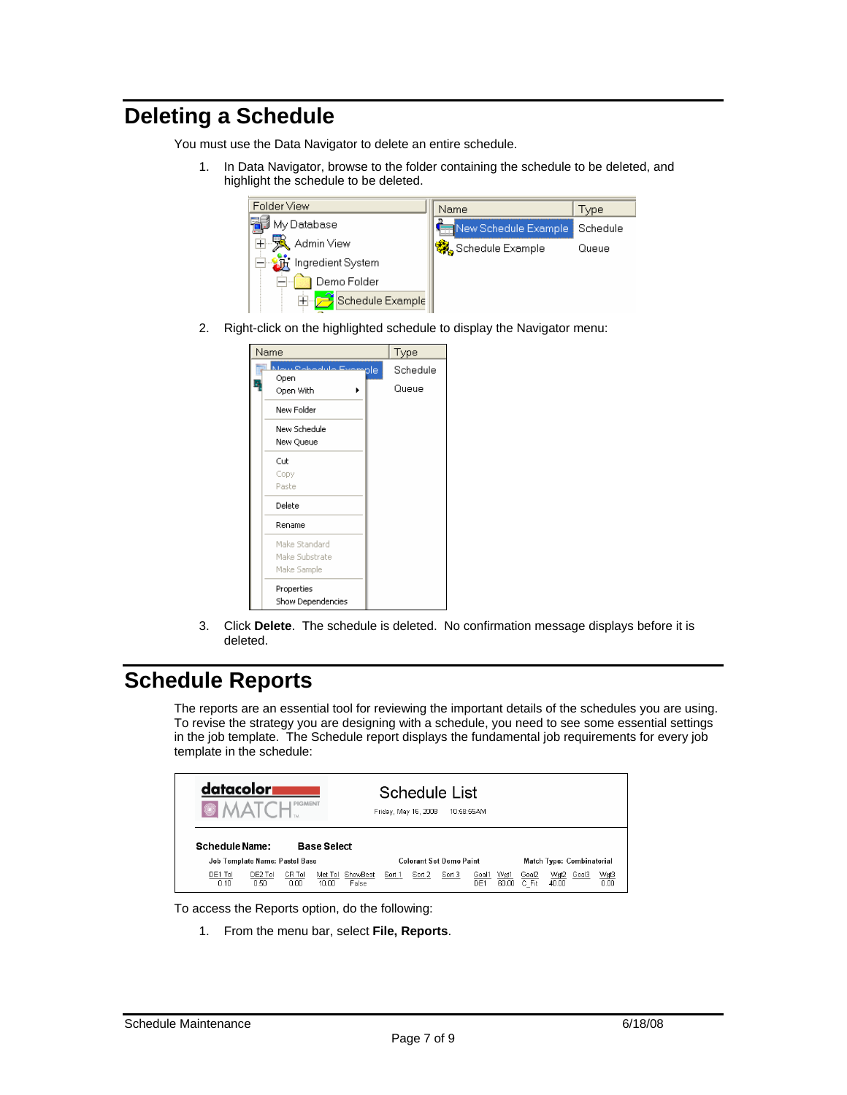# **Deleting a Schedule**

You must use the Data Navigator to delete an entire schedule.

1. In Data Navigator, browse to the folder containing the schedule to be deleted, and highlight the schedule to be deleted.

| Folder View       | Name                 | Type     |
|-------------------|----------------------|----------|
| My Database       | New Schedule Example | Schedule |
| Admin View        | ※ Schedule Example   | Queue    |
| Ingredient System |                      |          |
| Demo Folder       |                      |          |
| Schedule Example  |                      |          |

2. Right-click on the highlighted schedule to display the Navigator menu:

| Name                                                 | Type |                   |
|------------------------------------------------------|------|-------------------|
| <b>Maur Calendrilla Evample</b><br>Open<br>Open With |      | Schedule<br>Queue |
| New Folder                                           |      |                   |
| New Schedule<br>New Queue                            |      |                   |
| Cut                                                  |      |                   |
| Copy                                                 |      |                   |
| Paste                                                |      |                   |
| Delete                                               |      |                   |
| Rename                                               |      |                   |
| Make Standard                                        |      |                   |
| Make Substrate                                       |      |                   |
| Make Sample                                          |      |                   |
| Properties<br>Show Dependencies                      |      |                   |

3. Click **Delete**. The schedule is deleted. No confirmation message displays before it is deleted.

# **Schedule Reports**

The reports are an essential tool for reviewing the important details of the schedules you are using. To revise the strategy you are designing with a schedule, you need to see some essential settings in the job template. The Schedule report displays the fundamental job requirements for every job template in the schedule:

| Schedule Name:             | datacolor<br>Schedule List<br><b>PIGMENT</b><br>10:58:55AM<br>Friday, May 16, 2008<br><b>Base Select</b> |                |                  |                   |        |                                |        |              |               |                |                           |       |              |  |  |
|----------------------------|----------------------------------------------------------------------------------------------------------|----------------|------------------|-------------------|--------|--------------------------------|--------|--------------|---------------|----------------|---------------------------|-------|--------------|--|--|
|                            | Job Template Name: Pastel Base                                                                           |                |                  |                   |        | <b>Colorant Set Demo Paint</b> |        |              |               |                | Match Type: Combinatorial |       |              |  |  |
| DE1 Tol<br>n <sub>10</sub> | DE2 Tol<br>n 50.                                                                                         | CR Tol<br>n nn | Met Tol<br>10.00 | ShowBest<br>False | Sort 1 | Sort 2                         | Sort 3 | Goal1<br>DE1 | Wgt1<br>60.00 | Goal2<br>C Fit | Wgt2<br>40.00             | Goal3 | Wgt3<br>n nn |  |  |



1. From the menu bar, select **File, Reports**.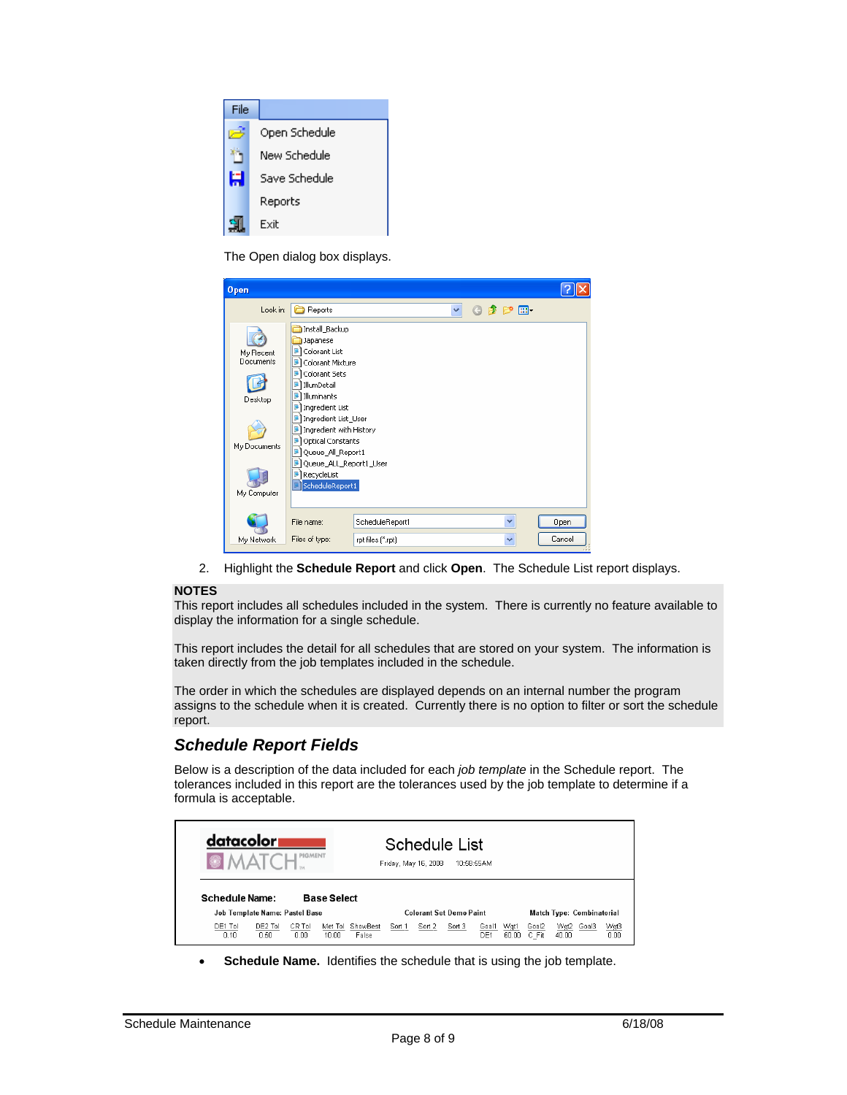

The Open dialog box displays.

| <b>Open</b>                                                      |                                                                                                                                                                                                                                                                                                                                |                   |   |                          |        |
|------------------------------------------------------------------|--------------------------------------------------------------------------------------------------------------------------------------------------------------------------------------------------------------------------------------------------------------------------------------------------------------------------------|-------------------|---|--------------------------|--------|
| Look in:                                                         | Reports                                                                                                                                                                                                                                                                                                                        |                   | v | $0$ $0$ $0$ $0$ $\ldots$ |        |
| My Recent<br>Documents<br>Desktop<br>My Documents<br>My Computer | Install Backup<br>Japanese<br>Colorant List<br>Π.<br>Colorant Mixture<br>92<br>g,<br>Colorant Sets<br>IllumDetail<br>Ç.<br>ū,<br>Illuminants<br>Ingredient List<br>Ingredient List_User<br>Ingredient with History<br>Optical Constants<br>Queue_All_Report1<br>g,<br>Queue_ALL_Report1_User<br>RecycleList<br>ScheduleReport1 |                   |   |                          |        |
|                                                                  | File name:                                                                                                                                                                                                                                                                                                                     | ScheduleReport1   |   | $\checkmark$             | Open   |
| My Network                                                       | Files of type:                                                                                                                                                                                                                                                                                                                 | rpt files (".rpt) |   | $\checkmark$             | Cancel |

2. Highlight the **Schedule Report** and click **Open**. The Schedule List report displays.

#### **NOTES**

This report includes all schedules included in the system. There is currently no feature available to display the information for a single schedule.

This report includes the detail for all schedules that are stored on your system. The information is taken directly from the job templates included in the schedule.

The order in which the schedules are displayed depends on an internal number the program assigns to the schedule when it is created. Currently there is no option to filter or sort the schedule report.

### *Schedule Report Fields*

Below is a description of the data included for each *job template* in the Schedule report. The tolerances included in this report are the tolerances used by the job template to determine if a formula is acceptable.

| datacolor<br><b>OMA</b>    | <b>PIGMENT</b>                       | Schedule List<br>Friday, May 16, 2008 |        | 10:58:55AM |                                |               |                |                     |  |                                  |
|----------------------------|--------------------------------------|---------------------------------------|--------|------------|--------------------------------|---------------|----------------|---------------------|--|----------------------------------|
|                            | Schedule Name:<br><b>Base Select</b> |                                       |        |            |                                |               |                |                     |  |                                  |
|                            | Job Template Name: Pastel Base       |                                       |        |            | <b>Colorant Set Demo Paint</b> |               |                |                     |  | <b>Match Type: Combinatorial</b> |
| DE1 Tol<br>n <sub>10</sub> | DE2 Tol<br>CR Tol<br>n sni<br>n nn   | Met Tol<br>ShowBest<br>10.00<br>False | Sort 1 | Sort 2     | Sort 3<br>Goal1<br>DE1         | Wgt1<br>60.00 | Goal2<br>C Fit | Wgt2 Goal3<br>40.00 |  | Wgt3<br>0.00                     |

**Schedule Name.** Identifies the schedule that is using the job template.